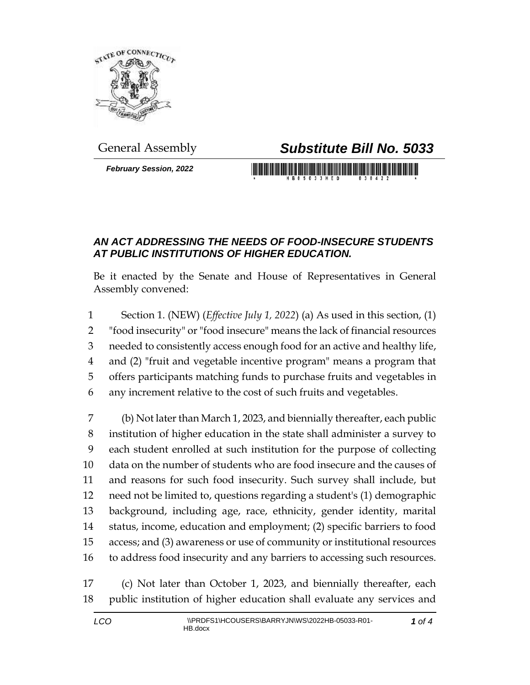

*February Session, 2022*

## General Assembly *Substitute Bill No. 5033*

## *AN ACT ADDRESSING THE NEEDS OF FOOD-INSECURE STUDENTS AT PUBLIC INSTITUTIONS OF HIGHER EDUCATION.*

Be it enacted by the Senate and House of Representatives in General Assembly convened:

 Section 1. (NEW) (*Effective July 1, 2022*) (a) As used in this section, (1) "food insecurity" or "food insecure" means the lack of financial resources needed to consistently access enough food for an active and healthy life, and (2) "fruit and vegetable incentive program" means a program that offers participants matching funds to purchase fruits and vegetables in any increment relative to the cost of such fruits and vegetables.

 (b) Not later than March 1, 2023, and biennially thereafter, each public institution of higher education in the state shall administer a survey to each student enrolled at such institution for the purpose of collecting data on the number of students who are food insecure and the causes of and reasons for such food insecurity. Such survey shall include, but need not be limited to, questions regarding a student's (1) demographic background, including age, race, ethnicity, gender identity, marital status, income, education and employment; (2) specific barriers to food access; and (3) awareness or use of community or institutional resources to address food insecurity and any barriers to accessing such resources.

 (c) Not later than October 1, 2023, and biennially thereafter, each public institution of higher education shall evaluate any services and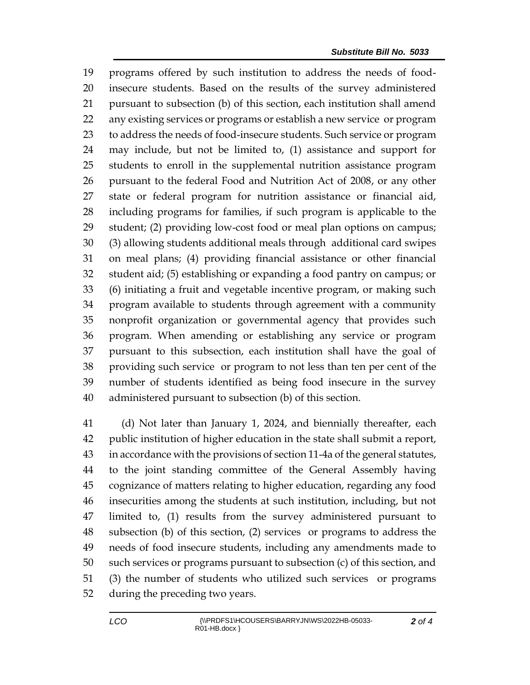programs offered by such institution to address the needs of food- insecure students. Based on the results of the survey administered pursuant to subsection (b) of this section, each institution shall amend any existing services or programs or establish a new service or program to address the needs of food-insecure students. Such service or program may include, but not be limited to, (1) assistance and support for students to enroll in the supplemental nutrition assistance program pursuant to the federal Food and Nutrition Act of 2008, or any other state or federal program for nutrition assistance or financial aid, including programs for families, if such program is applicable to the student; (2) providing low-cost food or meal plan options on campus; (3) allowing students additional meals through additional card swipes on meal plans; (4) providing financial assistance or other financial student aid; (5) establishing or expanding a food pantry on campus; or (6) initiating a fruit and vegetable incentive program, or making such program available to students through agreement with a community nonprofit organization or governmental agency that provides such program. When amending or establishing any service or program pursuant to this subsection, each institution shall have the goal of providing such service or program to not less than ten per cent of the number of students identified as being food insecure in the survey administered pursuant to subsection (b) of this section.

 (d) Not later than January 1, 2024, and biennially thereafter, each public institution of higher education in the state shall submit a report, in accordance with the provisions of section 11-4a of the general statutes, to the joint standing committee of the General Assembly having cognizance of matters relating to higher education, regarding any food insecurities among the students at such institution, including, but not limited to, (1) results from the survey administered pursuant to subsection (b) of this section, (2) services or programs to address the needs of food insecure students, including any amendments made to such services or programs pursuant to subsection (c) of this section, and (3) the number of students who utilized such services or programs during the preceding two years.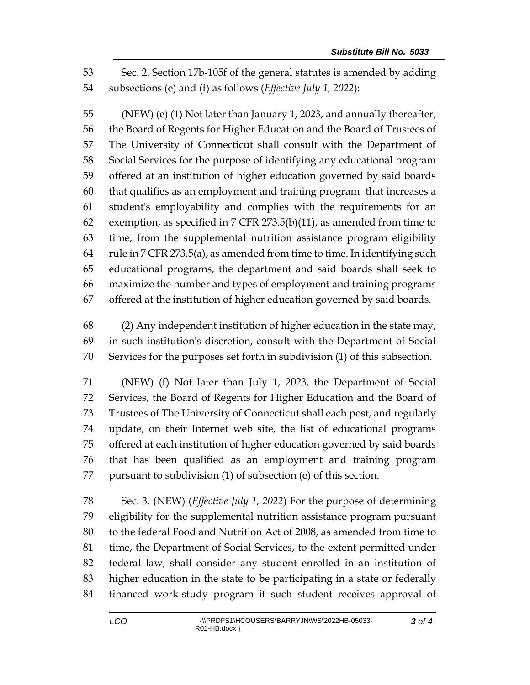Sec. 2. Section 17b-105f of the general statutes is amended by adding subsections (e) and (f) as follows (*Effective July 1, 2022*):

 (NEW) (e) (1) Not later than January 1, 2023, and annually thereafter, the Board of Regents for Higher Education and the Board of Trustees of The University of Connecticut shall consult with the Department of Social Services for the purpose of identifying any educational program offered at an institution of higher education governed by said boards that qualifies as an employment and training program that increases a student's employability and complies with the requirements for an 62 exemption, as specified in 7 CFR 273.5(b)(11), as amended from time to time, from the supplemental nutrition assistance program eligibility rule in 7 CFR 273.5(a), as amended from time to time. In identifying such educational programs, the department and said boards shall seek to maximize the number and types of employment and training programs offered at the institution of higher education governed by said boards.

 (2) Any independent institution of higher education in the state may, in such institution's discretion, consult with the Department of Social Services for the purposes set forth in subdivision (1) of this subsection.

 (NEW) (f) Not later than July 1, 2023, the Department of Social Services, the Board of Regents for Higher Education and the Board of Trustees of The University of Connecticut shall each post, and regularly update, on their Internet web site, the list of educational programs offered at each institution of higher education governed by said boards that has been qualified as an employment and training program pursuant to subdivision (1) of subsection (e) of this section.

 Sec. 3. (NEW) (*Effective July 1, 2022*) For the purpose of determining eligibility for the supplemental nutrition assistance program pursuant to the federal Food and Nutrition Act of 2008, as amended from time to time, the Department of Social Services, to the extent permitted under federal law, shall consider any student enrolled in an institution of higher education in the state to be participating in a state or federally financed work-study program if such student receives approval of